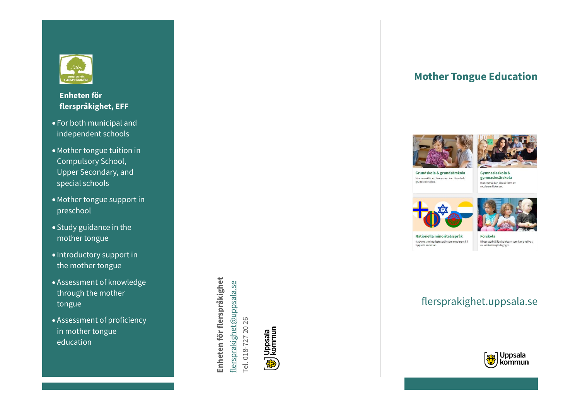

#### **Enheten för flerspråkighet, EFF**

- For both municipal and independent schools
- •Mother tongue tuition in Compulsory School , Upper Secondary, and special schools
- •Mother tongue support in preschool
- Study guidance in the mother tongue
- Introductory support in the mother tongue
- Assessment of knowledge through the mother tongue
- Assessment of proficiency in mother tongue education

Enheten för flerspråkighet **Enheten för flerspråkighet** flersprakighet@uppsala.se [flersprakighet@uppsala.se](mailto:flersprakighet@uppsala.se) Tel. 018-727 20 26 Tel. 018-727 20 26



## **Mother Tongue Education**





Grundskola & grundsärskola Modersmål är ett ämne som kan läsas hela grundskoletiden

Gymnasiaskola & gymnasiesärskola Modersmål kan läsas i form av modersmålskurser.





Nationella minoritetsspråk Nationella minoritetsspråk som modersmål i Uppsala kommun

Förskola Riktat stöd till förskolebarn som kan ansökas av förskolans pedagoger

# flersprakighet.uppsala.se